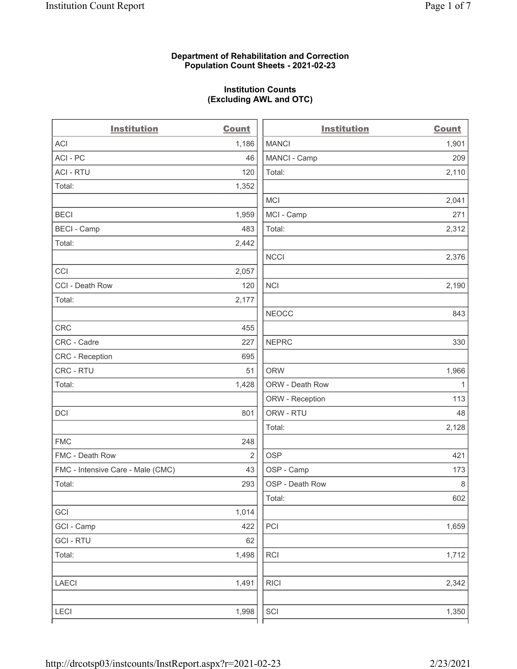# Department of Rehabilitation and Correction Population Count Sheets - 2021-02-23

# Institution Counts (Excluding AWL and OTC)

 $\overline{a}$ 

| <b>Institution</b>                | <b>Count</b>   | <b>Institution</b> | <b>Count</b> |
|-----------------------------------|----------------|--------------------|--------------|
| ACI                               | 1,186          | <b>MANCI</b>       | 1,901        |
| ACI-PC                            | 46             | MANCI - Camp       | 209          |
| <b>ACI - RTU</b>                  | 120            | Total:             | 2,110        |
| Total:                            | 1,352          |                    |              |
|                                   |                | MCI                | 2,041        |
| <b>BECI</b>                       | 1,959          | MCI - Camp         | 271          |
| <b>BECI - Camp</b>                | 483            | Total:             | 2,312        |
| Total:                            | 2,442          |                    |              |
|                                   |                | <b>NCCI</b>        | 2,376        |
| CCI                               | 2,057          |                    |              |
| CCI - Death Row                   | 120            | <b>NCI</b>         | 2,190        |
| Total:                            | 2,177          |                    |              |
|                                   |                | <b>NEOCC</b>       | 843          |
| <b>CRC</b>                        | 455            |                    |              |
| CRC - Cadre                       | 227            | <b>NEPRC</b>       | 330          |
| <b>CRC</b> - Reception            | 695            |                    |              |
| CRC - RTU                         | 51             | <b>ORW</b>         | 1,966        |
| Total:                            | 1,428          | ORW - Death Row    | $\mathbf{1}$ |
|                                   |                | ORW - Reception    | 113          |
| DCI                               | 801            | ORW - RTU          | 48           |
|                                   |                | Total:             | 2,128        |
| <b>FMC</b>                        | 248            |                    |              |
| FMC - Death Row                   | $\overline{2}$ | <b>OSP</b>         | 421          |
| FMC - Intensive Care - Male (CMC) | 43             | OSP - Camp         | 173          |
| Total:                            | 293            | OSP - Death Row    | 8            |
|                                   |                | Total:             | 602          |
| GCI                               | 1,014          |                    |              |
| GCI - Camp                        | 422            | PCI                | 1,659        |
| <b>GCI-RTU</b>                    | 62             |                    |              |
| Total:                            | 1,498          | RCI                | 1,712        |
| <b>LAECI</b>                      | 1,491          | <b>RICI</b>        | 2,342        |
| <b>LECI</b>                       | 1,998          | SCI                | 1,350        |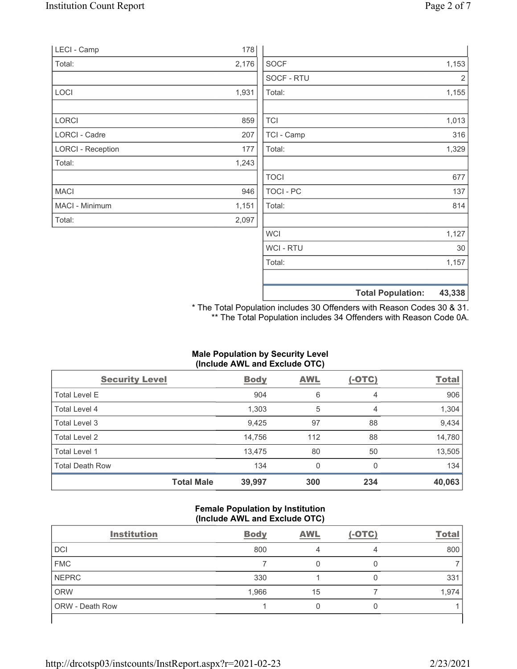|                          |       |                | <b>Total Population:</b> | 43,338 |
|--------------------------|-------|----------------|--------------------------|--------|
|                          |       |                |                          |        |
|                          |       | Total:         |                          | 1,157  |
|                          |       | <b>WCI-RTU</b> |                          | 30     |
|                          |       | <b>WCI</b>     |                          | 1,127  |
| Total:                   | 2,097 |                |                          |        |
| MACI - Minimum           | 1,151 | Total:         |                          | 814    |
| <b>MACI</b>              | 946   | TOCI - PC      |                          | 137    |
|                          |       | <b>TOCI</b>    |                          | 677    |
| Total:                   | 1,243 |                |                          |        |
| <b>LORCI - Reception</b> | 177   | Total:         |                          | 1,329  |
| <b>LORCI - Cadre</b>     | 207   | TCI - Camp     |                          | 316    |
| LORCI                    | 859   | <b>TCI</b>     |                          | 1,013  |
|                          |       |                |                          |        |
| LOCI                     | 1,931 | Total:         |                          | 1,155  |
|                          |       | SOCF - RTU     |                          | 2      |
| Total:                   | 2,176 | <b>SOCF</b>    |                          | 1,153  |
| LECI - Camp              | 178   |                |                          |        |

\* The Total Population includes 30 Offenders with Reason Codes 30 & 31. \*\* The Total Population includes 34 Offenders with Reason Code 0A.

# Male Population by Security Level (Include AWL and Exclude OTC)

| <b>Security Level</b>  |                   | <b>Body</b> | AWL          | $(-OTC)$ | <b>Total</b> |
|------------------------|-------------------|-------------|--------------|----------|--------------|
| <b>Total Level E</b>   |                   | 904         | 6            | 4        | 906          |
| Total Level 4          |                   | 1,303       | 5            | 4        | 1,304        |
| Total Level 3          |                   | 9,425       | 97           | 88       | 9,434        |
| Total Level 2          |                   | 14,756      | 112          | 88       | 14,780       |
| Total Level 1          |                   | 13,475      | 80           | 50       | 13,505       |
| <b>Total Death Row</b> |                   | 134         | $\mathbf{0}$ | 0        | 134          |
|                        | <b>Total Male</b> | 39,997      | 300          | 234      | 40,063       |

#### Female Population by Institution (Include AWL and Exclude OTC)

| <b>Institution</b> | <b>Body</b> | <b>AWL</b> | $(-OTC)$ | <b>Total</b> |
|--------------------|-------------|------------|----------|--------------|
| <b>DCI</b>         | 800         |            | 4        | 800          |
| <b>FMC</b>         |             | 0          |          |              |
| <b>NEPRC</b>       | 330         |            |          | 331          |
| <b>ORW</b>         | 1,966       | 15         |          | 1,974        |
| ORW - Death Row    |             | 0          |          |              |
|                    |             |            |          |              |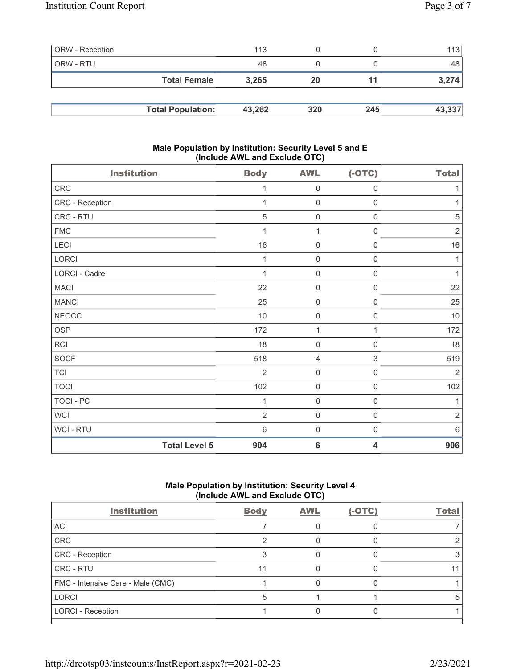| <b>ORW</b> - Reception |                          | 113    |     |     | 113    |
|------------------------|--------------------------|--------|-----|-----|--------|
| ORW - RTU              |                          | 48     |     |     | 48     |
|                        | <b>Total Female</b>      | 3,265  | 20  | 11  | 3,274  |
|                        |                          |        |     |     |        |
|                        | <b>Total Population:</b> | 43,262 | 320 | 245 | 43,337 |

# Male Population by Institution: Security Level 5 and E (Include AWL and Exclude OTC)

| <b>Institution</b> |                      | <b>Body</b>     | <b>AWL</b>          | $(-OTC)$            | <b>Total</b>   |
|--------------------|----------------------|-----------------|---------------------|---------------------|----------------|
| ${\sf CRC}$        |                      | 1               | $\boldsymbol{0}$    | $\boldsymbol{0}$    | 1              |
| CRC - Reception    |                      | 1               | $\mathbf 0$         | $\mathsf{O}\xspace$ | 1              |
| CRC - RTU          |                      | 5               | $\mathbf 0$         | $\boldsymbol{0}$    | $\mathbf 5$    |
| <b>FMC</b>         |                      | 1               | $\mathbf{1}$        | $\boldsymbol{0}$    | $\sqrt{2}$     |
| LECI               |                      | 16              | $\boldsymbol{0}$    | $\boldsymbol{0}$    | 16             |
| LORCI              |                      | 1               | $\mathbf 0$         | $\mathsf{O}\xspace$ | 1              |
| LORCI - Cadre      |                      | 1               | $\mathbf 0$         | $\mathsf{O}\xspace$ | $\mathbf{1}$   |
| <b>MACI</b>        |                      | 22              | $\mathbf 0$         | $\mathsf{O}\xspace$ | 22             |
| <b>MANCI</b>       |                      | 25              | $\mathbf 0$         | $\mathsf{O}\xspace$ | 25             |
| <b>NEOCC</b>       |                      | $10$            | $\mathbf 0$         | $\boldsymbol{0}$    | 10             |
| <b>OSP</b>         |                      | 172             | 1                   | 1                   | 172            |
| RCI                |                      | 18              | $\mathbf 0$         | $\mathsf{O}\xspace$ | 18             |
| <b>SOCF</b>        |                      | 518             | 4                   | 3                   | 519            |
| <b>TCI</b>         |                      | $\overline{2}$  | $\mathbf 0$         | $\mathsf{O}\xspace$ | $\overline{2}$ |
| <b>TOCI</b>        |                      | 102             | $\mathbf 0$         | $\mathsf{O}\xspace$ | 102            |
| TOCI - PC          |                      | 1               | $\mathbf 0$         | $\mathsf{O}\xspace$ | 1              |
| <b>WCI</b>         |                      | $\overline{2}$  | $\mathsf{O}\xspace$ | $\boldsymbol{0}$    | $\sqrt{2}$     |
| WCI - RTU          |                      | $6\phantom{1}6$ | $\mathbf 0$         | $\mathsf{O}\xspace$ | $6\,$          |
|                    | <b>Total Level 5</b> | 904             | $6\phantom{1}6$     | 4                   | 906            |

# Male Population by Institution: Security Level 4 (Include AWL and Exclude OTC)

| <b>Institution</b>                | <b>Body</b> | <b>AWL</b> | $(-OTC)$ | Total |
|-----------------------------------|-------------|------------|----------|-------|
| <b>ACI</b>                        |             |            |          |       |
| CRC                               |             |            |          |       |
| CRC - Reception                   |             |            |          |       |
| <b>CRC - RTU</b>                  | 11          |            |          |       |
| FMC - Intensive Care - Male (CMC) |             |            |          |       |
| <b>LORCI</b>                      |             |            |          |       |
| <b>LORCI - Reception</b>          |             |            |          |       |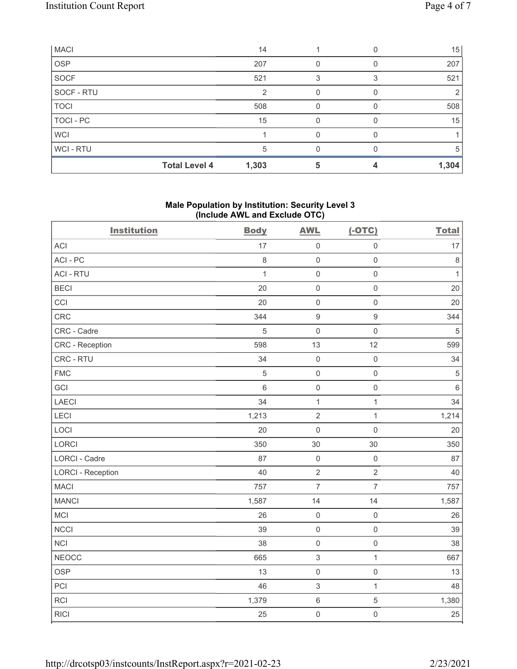| <b>MACI</b>      |                      | 14    |   | 15    |
|------------------|----------------------|-------|---|-------|
| <b>OSP</b>       |                      | 207   |   | 207   |
| <b>SOCF</b>      |                      | 521   |   | 521   |
| SOCF - RTU       |                      | 2     |   | 2     |
| <b>TOCI</b>      |                      | 508   |   | 508   |
| <b>TOCI - PC</b> |                      | 15    |   | 15    |
| <b>WCI</b>       |                      |       |   |       |
| <b>WCI-RTU</b>   |                      | 5     | U | 5     |
|                  | <b>Total Level 4</b> | 1,303 |   | 1,304 |

# Male Population by Institution: Security Level 3 (Include AWL and Exclude OTC)

| <b>Institution</b>       | <b>Body</b>  | <b>AWL</b>          | $(-OTC)$            | <b>Total</b> |
|--------------------------|--------------|---------------------|---------------------|--------------|
| <b>ACI</b>               | 17           | $\mathsf 0$         | $\mathsf{O}\xspace$ | 17           |
| ACI-PC                   | $\,8\,$      | $\mathsf{O}\xspace$ | $\mathbf 0$         | $\,8\,$      |
| <b>ACI - RTU</b>         | $\mathbf{1}$ | $\mathsf{O}\xspace$ | $\mathsf 0$         | $\mathbf{1}$ |
| <b>BECI</b>              | 20           | $\mathsf 0$         | $\mathsf{O}\xspace$ | 20           |
| CCI                      | 20           | $\mathsf{O}\xspace$ | $\mathsf{O}\xspace$ | 20           |
| CRC                      | 344          | $\boldsymbol{9}$    | $\mathsf g$         | 344          |
| CRC - Cadre              | 5            | $\mathsf{O}\xspace$ | $\mathsf{O}\xspace$ | $\sqrt{5}$   |
| CRC - Reception          | 598          | 13                  | 12                  | 599          |
| CRC - RTU                | 34           | $\mathsf 0$         | $\mathsf 0$         | 34           |
| <b>FMC</b>               | $\sqrt{5}$   | $\mathsf{O}\xspace$ | $\mathsf{O}\xspace$ | $\sqrt{5}$   |
| GCI                      | $\,6$        | $\mathsf 0$         | $\mathsf{O}\xspace$ | $\,6\,$      |
| LAECI                    | 34           | $\mathbf{1}$        | $\mathbf{1}$        | 34           |
| LECI                     | 1,213        | $\sqrt{2}$          | $\mathbf{1}$        | 1,214        |
| LOCI                     | 20           | $\mathsf 0$         | $\mathsf 0$         | 20           |
| LORCI                    | 350          | 30                  | 30                  | 350          |
| LORCI - Cadre            | 87           | $\mathsf 0$         | $\mathsf{O}\xspace$ | 87           |
| <b>LORCI - Reception</b> | 40           | $\sqrt{2}$          | $\overline{2}$      | 40           |
| <b>MACI</b>              | 757          | $\overline{7}$      | $\overline{7}$      | 757          |
| <b>MANCI</b>             | 1,587        | 14                  | 14                  | 1,587        |
| MCI                      | 26           | $\mathsf{O}\xspace$ | $\mathsf{O}\xspace$ | 26           |
| NCCI                     | 39           | $\mathsf{O}\xspace$ | $\mathsf{O}\xspace$ | 39           |
| <b>NCI</b>               | 38           | $\mathsf 0$         | $\mathsf{O}\xspace$ | 38           |
| <b>NEOCC</b>             | 665          | $\sqrt{3}$          | $\mathbf{1}$        | 667          |
| <b>OSP</b>               | 13           | $\mathsf 0$         | $\mathsf 0$         | 13           |
| PCI                      | 46           | $\sqrt{3}$          | $\mathbf{1}$        | 48           |
| <b>RCI</b>               | 1,379        | $\,6\,$             | $\sqrt{5}$          | 1,380        |
| <b>RICI</b>              | 25           | $\mathsf{O}\xspace$ | $\mathsf{O}\xspace$ | 25           |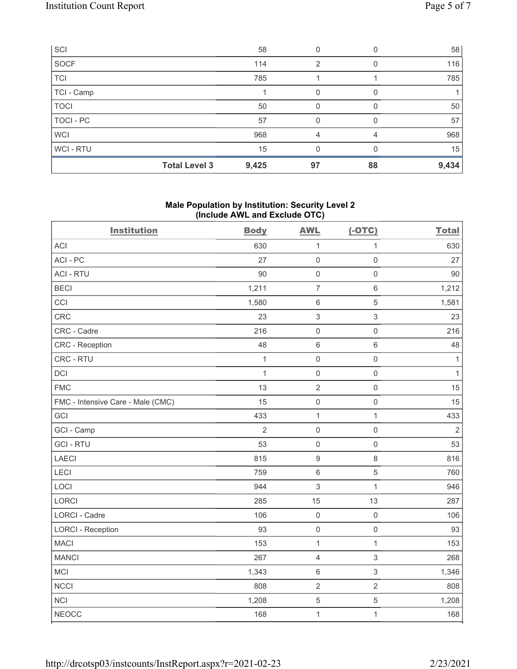| SCI            |                      | 58    | 0  |    | 58    |
|----------------|----------------------|-------|----|----|-------|
| SOCF           |                      | 114   | 2  |    | 116   |
| TCI            |                      | 785   |    |    | 785   |
| TCI - Camp     |                      |       | 0  |    |       |
| <b>TOCI</b>    |                      | 50    | 0  |    | 50    |
| TOCI - PC      |                      | 57    | 0  |    | 57    |
| <b>WCI</b>     |                      | 968   | 4  |    | 968   |
| <b>WCI-RTU</b> |                      | 15    |    |    | 15    |
|                | <b>Total Level 3</b> | 9,425 | 97 | 88 | 9,434 |

# Male Population by Institution: Security Level 2 (Include AWL and Exclude OTC)

| <b>Institution</b>                | <b>Body</b>    | <b>AWL</b>                | $(-OTC)$                  | <b>Total</b>   |
|-----------------------------------|----------------|---------------------------|---------------------------|----------------|
| <b>ACI</b>                        | 630            | $\mathbf{1}$              | $\mathbf{1}$              | 630            |
| ACI-PC                            | 27             | $\mathbf 0$               | $\mathsf{O}\xspace$       | 27             |
| <b>ACI - RTU</b>                  | 90             | $\mathbf 0$               | $\mathsf{O}\xspace$       | 90             |
| <b>BECI</b>                       | 1,211          | $\overline{7}$            | $\,6\,$                   | 1,212          |
| CCI                               | 1,580          | $\,6\,$                   | 5                         | 1,581          |
| CRC                               | 23             | $\ensuremath{\mathsf{3}}$ | 3                         | 23             |
| CRC - Cadre                       | 216            | $\mathsf{O}\xspace$       | $\mathsf 0$               | 216            |
| CRC - Reception                   | 48             | $6\,$                     | $\,$ 6 $\,$               | 48             |
| CRC - RTU                         | $\mathbf{1}$   | $\mathbf 0$               | $\mathsf{O}\xspace$       | $\mathbf{1}$   |
| <b>DCI</b>                        | 1              | $\mathbf 0$               | $\mathsf{O}\xspace$       | $\mathbf{1}$   |
| <b>FMC</b>                        | 13             | $\sqrt{2}$                | $\mathsf{O}\xspace$       | 15             |
| FMC - Intensive Care - Male (CMC) | 15             | $\mathbf 0$               | $\mathsf{O}\xspace$       | 15             |
| GCI                               | 433            | $\mathbf 1$               | $\mathbf{1}$              | 433            |
| GCI - Camp                        | $\overline{2}$ | $\mathsf 0$               | $\mathsf{O}\xspace$       | $\overline{2}$ |
| <b>GCI-RTU</b>                    | 53             | $\mathbf 0$               | $\mathsf{O}\xspace$       | 53             |
| <b>LAECI</b>                      | 815            | $\boldsymbol{9}$          | 8                         | 816            |
| LECI                              | 759            | $\,6\,$                   | 5                         | 760            |
| LOCI                              | 944            | $\ensuremath{\mathsf{3}}$ | $\mathbf{1}$              | 946            |
| <b>LORCI</b>                      | 285            | 15                        | 13                        | 287            |
| LORCI - Cadre                     | 106            | $\mathbf 0$               | $\mathsf{O}\xspace$       | 106            |
| <b>LORCI - Reception</b>          | 93             | $\mathbf 0$               | $\mathsf 0$               | 93             |
| <b>MACI</b>                       | 153            | $\mathbf{1}$              | $\mathbf{1}$              | 153            |
| <b>MANCI</b>                      | 267            | $\sqrt{4}$                | 3                         | 268            |
| MCI                               | 1,343          | $\,6\,$                   | $\ensuremath{\mathsf{3}}$ | 1,346          |
| <b>NCCI</b>                       | 808            | $\mathbf 2$               | $\overline{2}$            | 808            |
| <b>NCI</b>                        | 1,208          | $\overline{5}$            | 5                         | 1,208          |
| <b>NEOCC</b>                      | 168            | $\mathbf 1$               | $\mathbf{1}$              | 168            |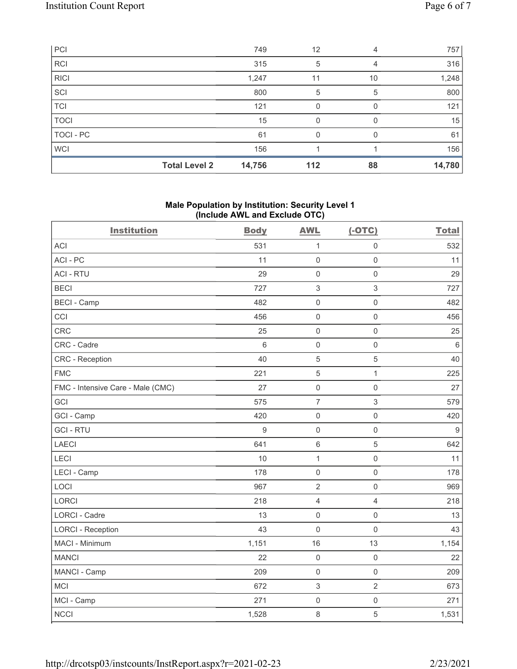| PCI         |                      | 749    | 12  | 4  | 757    |
|-------------|----------------------|--------|-----|----|--------|
| <b>RCI</b>  |                      | 315    | 5   |    | 316    |
| <b>RICI</b> |                      | 1,247  | 11  | 10 | 1,248  |
| SCI         |                      | 800    | 5   | 5  | 800    |
| <b>TCI</b>  |                      | 121    | 0   |    | 121    |
| <b>TOCI</b> |                      | 15     | O   |    | 15     |
| TOCI - PC   |                      | 61     | O   |    | 61     |
| <b>WCI</b>  |                      | 156    |     |    | 156    |
|             | <b>Total Level 2</b> | 14,756 | 112 | 88 | 14,780 |

# Male Population by Institution: Security Level 1 (Include AWL and Exclude OTC)

| <b>Institution</b>                | <b>Body</b>     | <b>AWL</b>     | $(-OTC)$            | <b>Total</b> |
|-----------------------------------|-----------------|----------------|---------------------|--------------|
| <b>ACI</b>                        | 531             | $\mathbf{1}$   | $\mathsf 0$         | 532          |
| ACI-PC                            | 11              | $\mathbf 0$    | $\mathsf 0$         | 11           |
| <b>ACI - RTU</b>                  | 29              | $\mathbf 0$    | $\mathsf 0$         | 29           |
| <b>BECI</b>                       | 727             | $\sqrt{3}$     | $\mathfrak{S}$      | 727          |
| <b>BECI - Camp</b>                | 482             | $\mathbf 0$    | $\mathsf 0$         | 482          |
| CCI                               | 456             | $\mathbf 0$    | $\mathsf 0$         | 456          |
| <b>CRC</b>                        | 25              | $\mathbf 0$    | $\mathsf 0$         | 25           |
| CRC - Cadre                       | $6\phantom{1}6$ | $\mathbf 0$    | $\mathbf 0$         | $\,6\,$      |
| <b>CRC</b> - Reception            | 40              | 5              | $\sqrt{5}$          | 40           |
| <b>FMC</b>                        | 221             | 5              | $\mathbf{1}$        | 225          |
| FMC - Intensive Care - Male (CMC) | 27              | $\mathsf{O}$   | $\mathsf{O}\xspace$ | 27           |
| GCI                               | 575             | $\overline{7}$ | $\sqrt{3}$          | 579          |
| GCI - Camp                        | 420             | $\mathbf 0$    | $\mathsf{O}\xspace$ | 420          |
| <b>GCI-RTU</b>                    | $\overline{9}$  | $\mathbf 0$    | $\mathsf 0$         | $9\,$        |
| <b>LAECI</b>                      | 641             | $6\,$          | 5                   | 642          |
| LECI                              | 10              | $\mathbf{1}$   | $\mathsf 0$         | 11           |
| LECI - Camp                       | 178             | $\mathbf 0$    | $\mathsf{O}\xspace$ | 178          |
| LOCI                              | 967             | $\overline{2}$ | $\mathsf 0$         | 969          |
| <b>LORCI</b>                      | 218             | $\overline{4}$ | $\overline{4}$      | 218          |
| <b>LORCI - Cadre</b>              | 13              | $\mathbf 0$    | $\mathsf{O}\xspace$ | 13           |
| <b>LORCI - Reception</b>          | 43              | $\mathbf 0$    | $\mathsf 0$         | 43           |
| MACI - Minimum                    | 1,151           | 16             | 13                  | 1,154        |
| <b>MANCI</b>                      | 22              | $\mathbf 0$    | $\mathsf 0$         | 22           |
| MANCI - Camp                      | 209             | $\mathbf 0$    | $\mathsf 0$         | 209          |
| <b>MCI</b>                        | 672             | $\sqrt{3}$     | $\overline{2}$      | 673          |
| MCI - Camp                        | 271             | $\mathbf 0$    | $\mathsf 0$         | 271          |
| <b>NCCI</b>                       | 1,528           | $\,8\,$        | $\sqrt{5}$          | 1,531        |